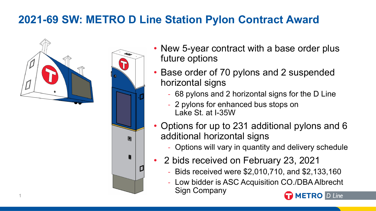## **2021-69 SW: METRO D Line Station Pylon Contract Award**





- New 5-year contract with a base order plus future options
- Base order of 70 pylons and 2 suspended horizontal signs
	- 68 pylons and 2 horizontal signs for the D Line
	- 2 pylons for enhanced bus stops on Lake St. at I-35W
- Options for up to 231 additional pylons and 6 additional horizontal signs
	- Options will vary in quantity and delivery schedule
- 2 bids received on February 23, 2021
	- Bids received were \$2,010,710, and \$2,133,160
	- Low bidder is ASC Acquisition CO./DBA Albrecht Sign Company 1

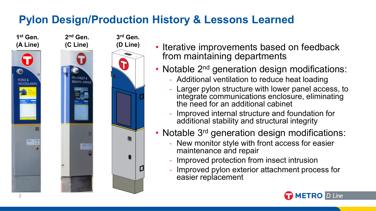## **Pylon Design/Production History & Lessons Learned**





- Iterative improvements based on feedback from maintaining departments
- Notable 2<sup>nd</sup> generation design modifications:
	- Additional ventilation to reduce heat loading
	- Larger pylon structure with lower panel access, to integrate communications enclosure, eliminating the need for an additional cabinet
	- Improved internal structure and foundation for additional stability and structural integrity
- Notable 3<sup>rd</sup> generation design modifications:
	- New monitor style with front access for easier maintenance and repair
	- Improved protection from insect intrusion
	- Improved pylon exterior attachment process for easier replacement